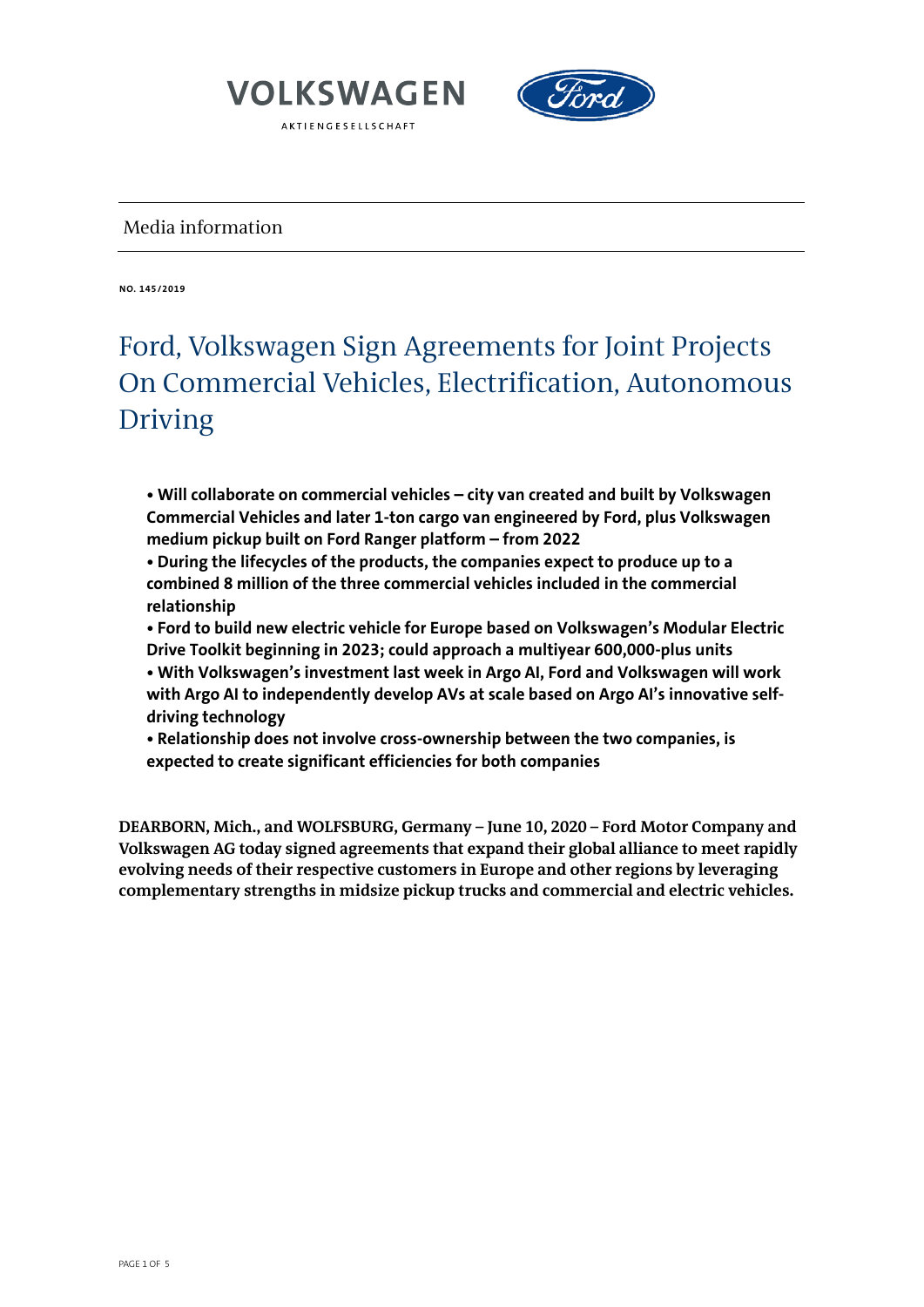



### Media information

**NO. 145/2019**

## Ford, Volkswagen Sign Agreements for Joint Projects On Commercial Vehicles, Electrification, Autonomous Driving

**• Will collaborate on commercial vehicles – city van created and built by Volkswagen Commercial Vehicles and later 1-ton cargo van engineered by Ford, plus Volkswagen medium pickup built on Ford Ranger platform – from 2022**

**• During the lifecycles of the products, the companies expect to produce up to a combined 8 million of the three commercial vehicles included in the commercial relationship**

**• Ford to build new electric vehicle for Europe based on Volkswagen's Modular Electric Drive Toolkit beginning in 2023; could approach a multiyear 600,000-plus units**

**• With Volkswagen's investment last week in Argo AI, Ford and Volkswagen will work with Argo AI to independently develop AVs at scale based on Argo AI's innovative selfdriving technology**

**• Relationship does not involve cross-ownership between the two companies, is expected to create significant efficiencies for both companies**

**DEARBORN, Mich., and WOLFSBURG, Germany – June 10, 2020 – Ford Motor Company and Volkswagen AG today signed agreements that expand their global alliance to meet rapidly evolving needs of their respective customers in Europe and other regions by leveraging complementary strengths in midsize pickup trucks and commercial and electric vehicles.**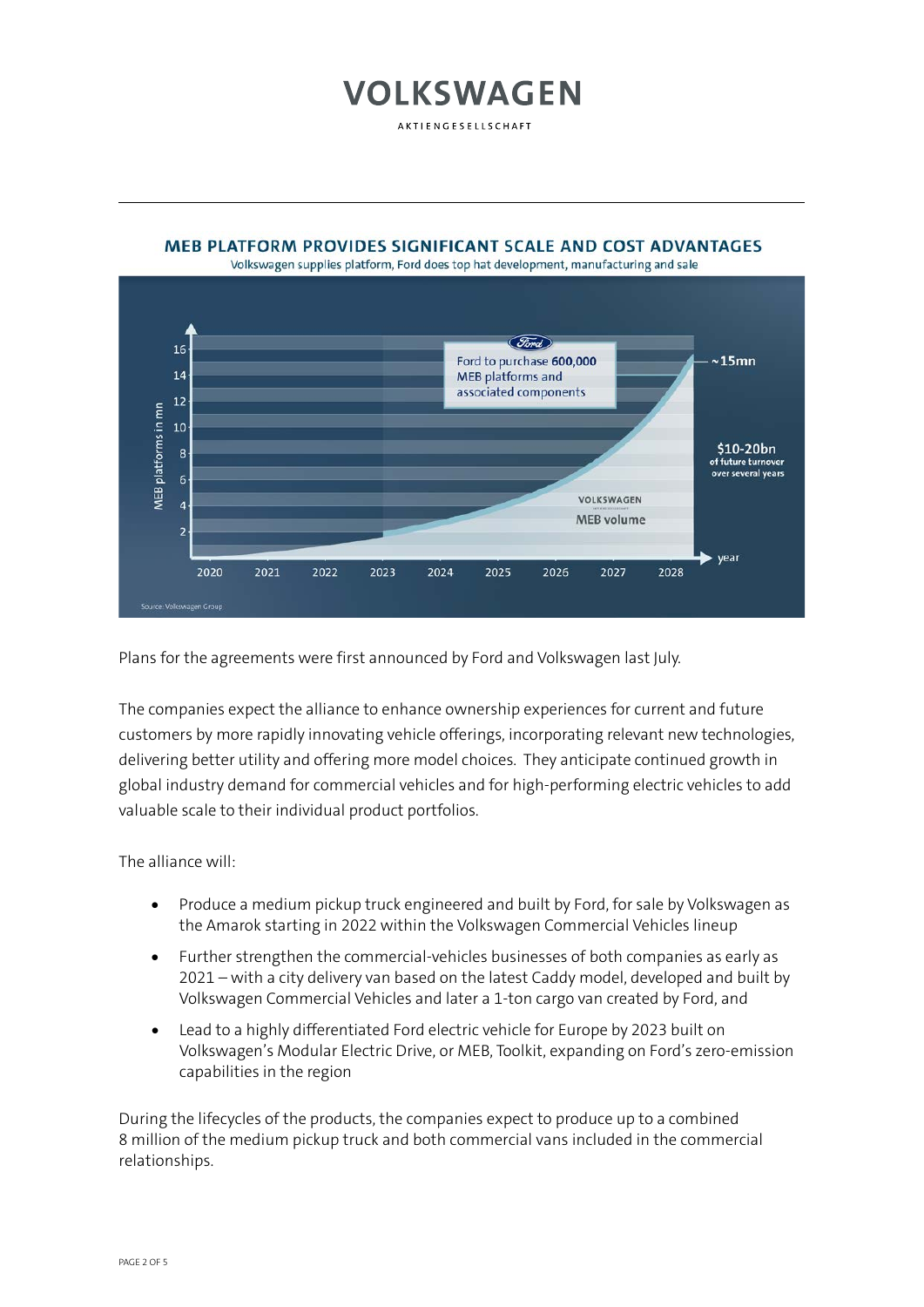AKTIENGESELLSCHAFT

**MEB PLATFORM PROVIDES SIGNIFICANT SCALE AND COST ADVANTAGES** 

#### Volkswagen supplies platform, Ford does top hat development, manufacturing and sale Ford 16 Ford to purchase 600,000  $\sim$ 15mn 14 **MEB** platforms and associated components  $12$ **MEB** platforms in mn 10 \$10-20bn  $\overline{\mathbf{8}}$ of future turnover over several vears  $6\overline{6}$ VOLKSWAGEN  $\overline{4}$

2024

2025

2026

**MEB** volume

2027

year

2028

Plans for the agreements were first announced by Ford and Volkswagen last July.

2023

The companies expect the alliance to enhance ownership experiences for current and future customers by more rapidly innovating vehicle offerings, incorporating relevant new technologies, delivering better utility and offering more model choices. They anticipate continued growth in global industry demand for commercial vehicles and for high-performing electric vehicles to add valuable scale to their individual product portfolios.

The alliance will:

2020

2021

2022

- Produce a medium pickup truck engineered and built by Ford, for sale by Volkswagen as the Amarok starting in 2022 within the Volkswagen Commercial Vehicles lineup
- Further strengthen the commercial-vehicles businesses of both companies as early as 2021 – with a city delivery van based on the latest Caddy model, developed and built by Volkswagen Commercial Vehicles and later a 1-ton cargo van created by Ford, and
- Lead to a highly differentiated Ford electric vehicle for Europe by 2023 built on Volkswagen's Modular Electric Drive, or MEB, Toolkit, expanding on Ford's zero-emission capabilities in the region

During the lifecycles of the products, the companies expect to produce up to a combined 8 million of the medium pickup truck and both commercial vans included in the commercial relationships.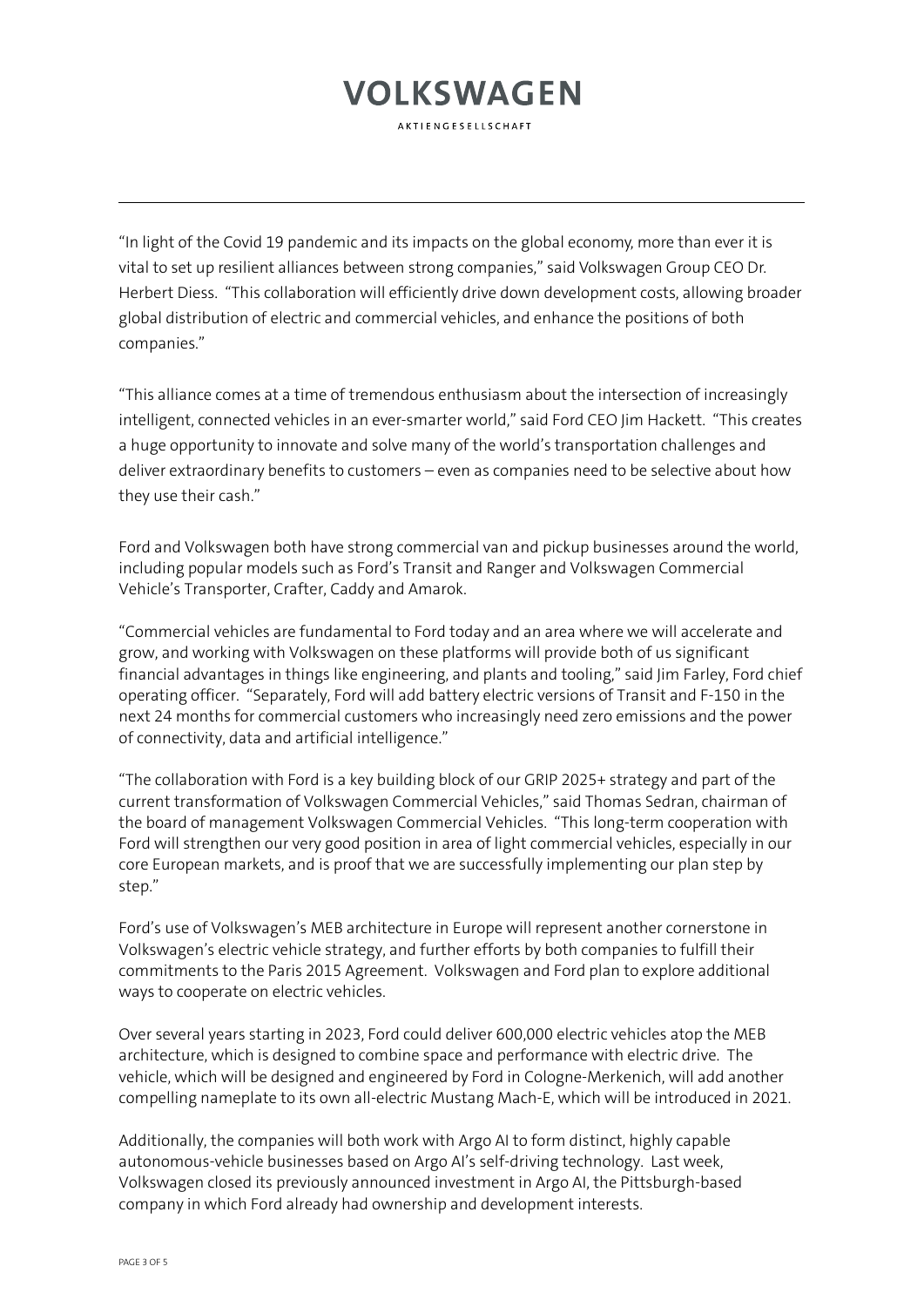**AKTIENGESELLSCHAFT** 

"In light of the Covid 19 pandemic and its impacts on the global economy, more than ever it is vital to set up resilient alliances between strong companies," said Volkswagen Group CEO Dr. Herbert Diess. "This collaboration will efficiently drive down development costs, allowing broader global distribution of electric and commercial vehicles, and enhance the positions of both companies."

"This alliance comes at a time of tremendous enthusiasm about the intersection of increasingly intelligent, connected vehicles in an ever-smarter world," said Ford CEO Jim Hackett. "This creates a huge opportunity to innovate and solve many of the world's transportation challenges and deliver extraordinary benefits to customers – even as companies need to be selective about how they use their cash."

Ford and Volkswagen both have strong commercial van and pickup businesses around the world, including popular models such as Ford's Transit and Ranger and Volkswagen Commercial Vehicle's Transporter, Crafter, Caddy and Amarok.

"Commercial vehicles are fundamental to Ford today and an area where we will accelerate and grow, and working with Volkswagen on these platforms will provide both of us significant financial advantages in things like engineering, and plants and tooling," said Jim Farley, Ford chief operating officer. "Separately, Ford will add battery electric versions of Transit and F-150 in the next 24 months for commercial customers who increasingly need zero emissions and the power of connectivity, data and artificial intelligence."

"The collaboration with Ford is a key building block of our GRIP 2025+ strategy and part of the current transformation of Volkswagen Commercial Vehicles," said Thomas Sedran, chairman of the board of management Volkswagen Commercial Vehicles. "This long-term cooperation with Ford will strengthen our very good position in area of light commercial vehicles, especially in our core European markets, and is proof that we are successfully implementing our plan step by step."

Ford's use of Volkswagen's MEB architecture in Europe will represent another cornerstone in Volkswagen's electric vehicle strategy, and further efforts by both companies to fulfill their commitments to the Paris 2015 Agreement. Volkswagen and Ford plan to explore additional ways to cooperate on electric vehicles.

Over several years starting in 2023, Ford could deliver 600,000 electric vehicles atop the MEB architecture, which is designed to combine space and performance with electric drive. The vehicle, which will be designed and engineered by Ford in Cologne-Merkenich, will add another compelling nameplate to its own all-electric Mustang Mach-E, which will be introduced in 2021.

Additionally, the companies will both work with Argo AI to form distinct, highly capable autonomous-vehicle businesses based on Argo AI's self-driving technology. Last week, Volkswagen closed its previously announced investment in Argo AI, the Pittsburgh-based company in which Ford already had ownership and development interests.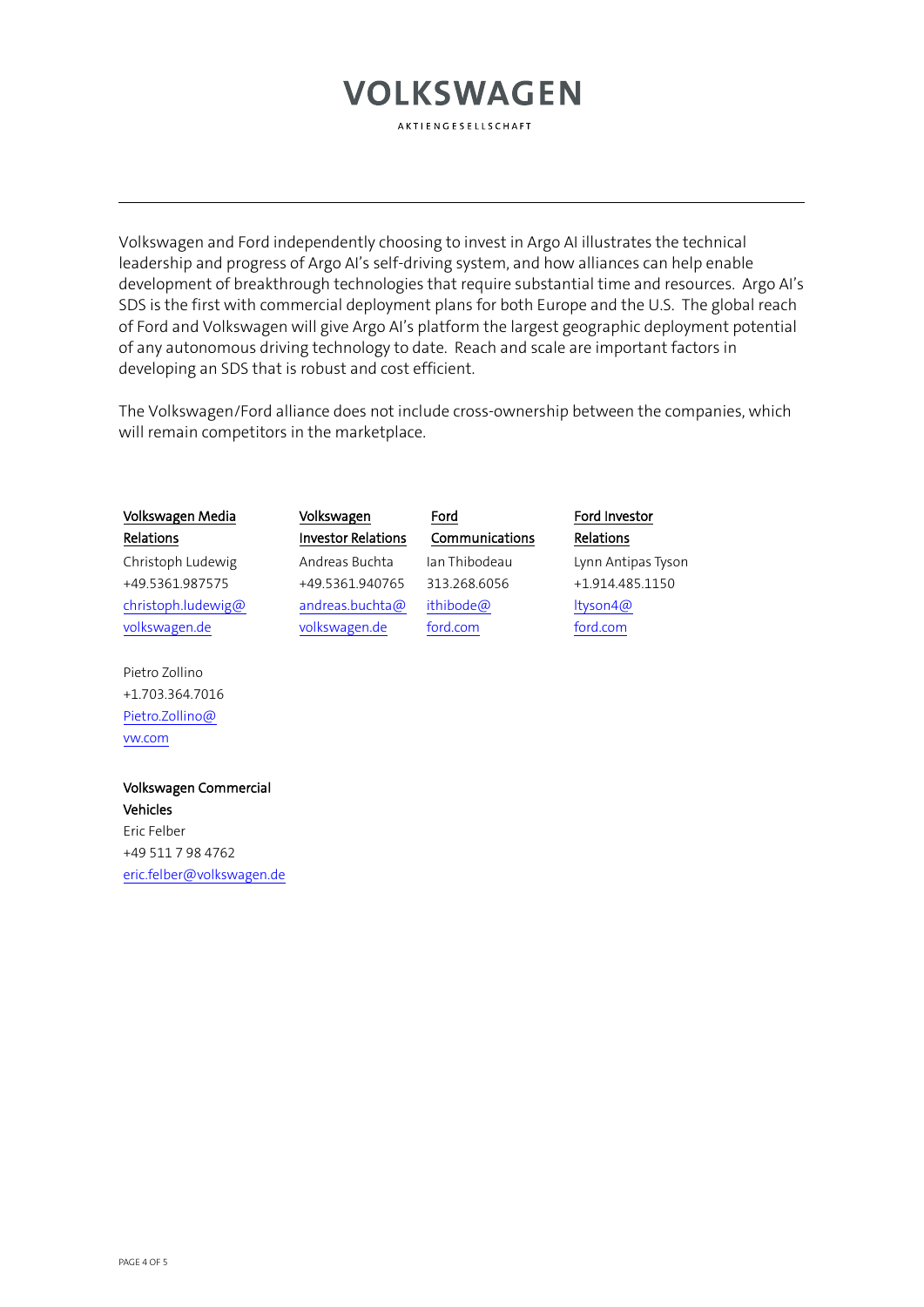AKTIENGESELLSCHAFT

Volkswagen and Ford independently choosing to invest in Argo AI illustrates the technical leadership and progress of Argo AI's self-driving system, and how alliances can help enable development of breakthrough technologies that require substantial time and resources. Argo AI's SDS is the first with commercial deployment plans for both Europe and the U.S. The global reach of Ford and Volkswagen will give Argo AI's platform the largest geographic deployment potential of any autonomous driving technology to date. Reach and scale are important factors in developing an SDS that is robust and cost efficient.

The Volkswagen/Ford alliance does not include cross-ownership between the companies, which will remain competitors in the marketplace.

| Volkswagen Media   | Volkswagen                | Ford           | Ford Investor      |
|--------------------|---------------------------|----------------|--------------------|
| Relations          | <b>Investor Relations</b> | Communications | Relations          |
| Christoph Ludewig  | Andreas Buchta            | Jan Thibodeau  | Lynn Antipas Tyson |
| +49.5361.987575    | +49.5361.940765           | 313.268.6056   | +1.914.485.1150    |
| christoph.ludewig@ | andreas.buchta@           | ithibode@      | ltyson4@           |
| volkswagen.de      | volkswagen.de             | ford.com       | ford.com           |

Pietro Zollino +1.703.364.7016 [Pietro.Zollino@](mailto:Pietro.Zollino@vw.com) [vw.com](mailto:Pietro.Zollino@vw.com)

### Volkswagen Commercial Vehicles Eric Felber

+49 511 7 98 4762 [eric.felber@volkswagen.de](mailto:eric.felber@volkswagen.de)